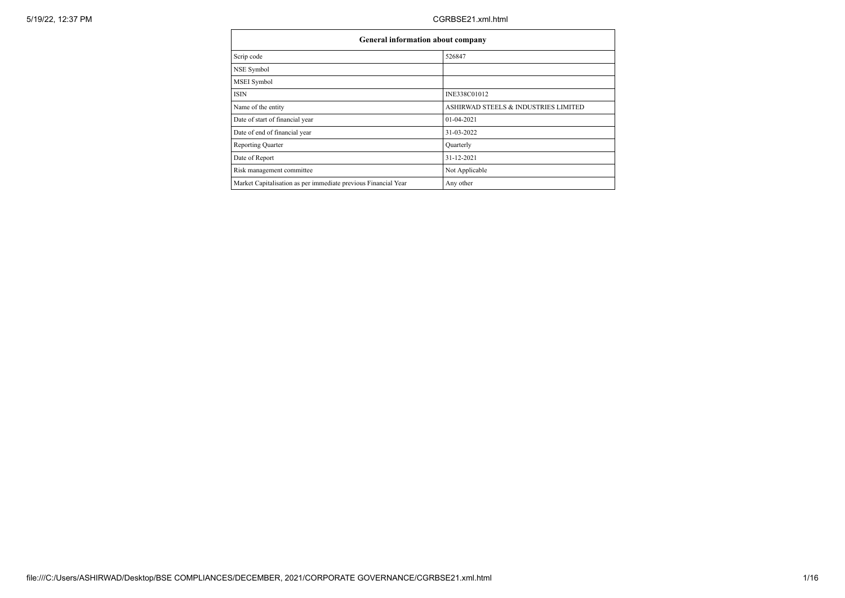| <b>General information about company</b>                       |                                      |  |  |  |  |  |  |
|----------------------------------------------------------------|--------------------------------------|--|--|--|--|--|--|
| Scrip code                                                     | 526847                               |  |  |  |  |  |  |
| NSE Symbol                                                     |                                      |  |  |  |  |  |  |
| MSEI Symbol                                                    |                                      |  |  |  |  |  |  |
| <b>ISIN</b>                                                    | INE338C01012                         |  |  |  |  |  |  |
| Name of the entity                                             | ASHIRWAD STEELS & INDUSTRIES LIMITED |  |  |  |  |  |  |
| Date of start of financial year                                | $01-04-2021$                         |  |  |  |  |  |  |
| Date of end of financial year                                  | 31-03-2022                           |  |  |  |  |  |  |
| <b>Reporting Quarter</b>                                       | Quarterly                            |  |  |  |  |  |  |
| Date of Report                                                 | $31 - 12 - 2021$                     |  |  |  |  |  |  |
| Risk management committee                                      | Not Applicable                       |  |  |  |  |  |  |
| Market Capitalisation as per immediate previous Financial Year | Any other                            |  |  |  |  |  |  |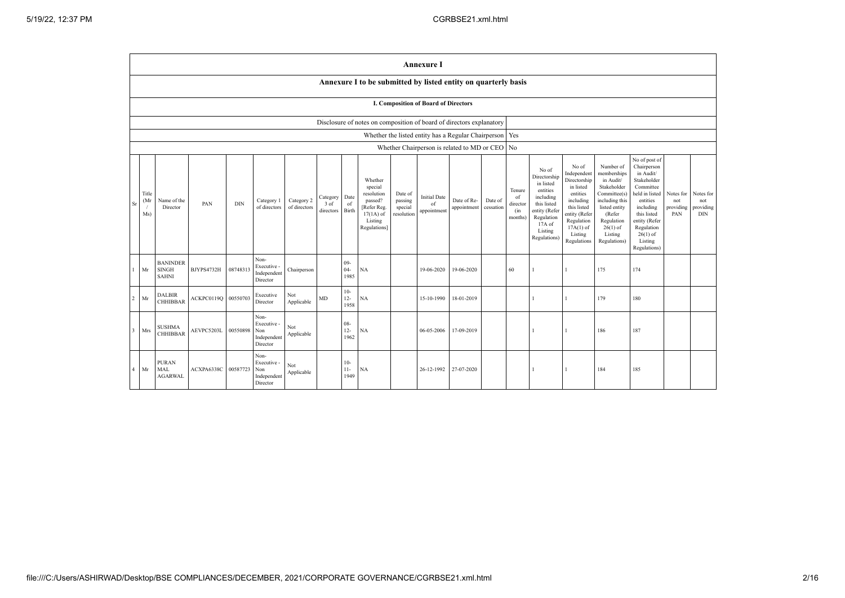|                                                           |                                                                                                                                                                                                                                                                                                                                                                                                                                                                 |                                                 |                     |          |                                                       |                                            |                                                                                                                                                |                                                                                                                                                                   |                                                                                                                                                                          |                                                                                                                                                                                                         | <b>Annexure I</b>                    |                                                |  |    |  |              |     |     |  |  |
|-----------------------------------------------------------|-----------------------------------------------------------------------------------------------------------------------------------------------------------------------------------------------------------------------------------------------------------------------------------------------------------------------------------------------------------------------------------------------------------------------------------------------------------------|-------------------------------------------------|---------------------|----------|-------------------------------------------------------|--------------------------------------------|------------------------------------------------------------------------------------------------------------------------------------------------|-------------------------------------------------------------------------------------------------------------------------------------------------------------------|--------------------------------------------------------------------------------------------------------------------------------------------------------------------------|---------------------------------------------------------------------------------------------------------------------------------------------------------------------------------------------------------|--------------------------------------|------------------------------------------------|--|----|--|--------------|-----|-----|--|--|
|                                                           |                                                                                                                                                                                                                                                                                                                                                                                                                                                                 |                                                 |                     |          |                                                       |                                            |                                                                                                                                                |                                                                                                                                                                   | Annexure I to be submitted by listed entity on quarterly basis                                                                                                           |                                                                                                                                                                                                         |                                      |                                                |  |    |  |              |     |     |  |  |
|                                                           | <b>I. Composition of Board of Directors</b>                                                                                                                                                                                                                                                                                                                                                                                                                     |                                                 |                     |          |                                                       |                                            |                                                                                                                                                |                                                                                                                                                                   |                                                                                                                                                                          |                                                                                                                                                                                                         |                                      |                                                |  |    |  |              |     |     |  |  |
|                                                           | Disclosure of notes on composition of board of directors explanatory                                                                                                                                                                                                                                                                                                                                                                                            |                                                 |                     |          |                                                       |                                            |                                                                                                                                                |                                                                                                                                                                   |                                                                                                                                                                          |                                                                                                                                                                                                         |                                      |                                                |  |    |  |              |     |     |  |  |
| Whether the listed entity has a Regular Chairperson   Yes |                                                                                                                                                                                                                                                                                                                                                                                                                                                                 |                                                 |                     |          |                                                       |                                            |                                                                                                                                                |                                                                                                                                                                   |                                                                                                                                                                          |                                                                                                                                                                                                         |                                      |                                                |  |    |  |              |     |     |  |  |
|                                                           |                                                                                                                                                                                                                                                                                                                                                                                                                                                                 |                                                 |                     |          |                                                       |                                            |                                                                                                                                                |                                                                                                                                                                   |                                                                                                                                                                          |                                                                                                                                                                                                         |                                      | Whether Chairperson is related to MD or CEO No |  |    |  |              |     |     |  |  |
| Sr                                                        | Whether<br>special<br>resolution<br>Title<br>Date of<br>Date<br><b>Initial Date</b><br>Category<br>Name of the<br>passed?<br>Date of Re-<br>(Mr)<br>Category 2<br>passing<br>Date of<br>Category 1<br>PAN<br><b>DIN</b><br>3 of<br>of<br>of<br>of directors<br>cessation<br>Director<br>of directors<br>[Refer Reg.<br>special<br>appointment<br>$\sqrt{ }$<br>Birth<br>directors<br>appointment<br>Ms)<br>resolution<br>$17(1A)$ of<br>Listing<br>Regulations] |                                                 |                     |          |                                                       | Tenure<br>of<br>director<br>(in<br>months) | No of<br>Directorship<br>in listed<br>entities<br>including<br>this listed<br>entity (Refer<br>Regulation<br>17A of<br>Listing<br>Regulations) | No of<br>Independent<br>Directorship<br>in listed<br>entities<br>including<br>this listed<br>entity (Refer<br>Regulation<br>$17A(1)$ of<br>Listing<br>Regulations | Number of<br>memberships<br>in Audit/<br>Stakeholder<br>Committee(s)<br>including this<br>listed entity<br>(Refer<br>Regulation<br>$26(1)$ of<br>Listing<br>Regulations) | No of post of<br>Chairperson<br>in Audit/<br>Stakeholder<br>Committee<br>held in listed<br>entities<br>including<br>this listed<br>entity (Refer<br>Regulation<br>$26(1)$ of<br>Listing<br>Regulations) | Notes for<br>not<br>providing<br>PAN | Notes for<br>not<br>providing<br><b>DIN</b>    |  |    |  |              |     |     |  |  |
|                                                           | Mr                                                                                                                                                                                                                                                                                                                                                                                                                                                              | <b>BANINDER</b><br><b>SINGH</b><br><b>SAHNI</b> | BJYPS4732H          | 08748313 | Non-<br>Executive -<br>Independent<br>Director        | Chairperson                                |                                                                                                                                                | $09 -$<br>$04 -$<br>1985                                                                                                                                          | NA                                                                                                                                                                       |                                                                                                                                                                                                         | 19-06-2020                           | 19-06-2020                                     |  | 60 |  | $\mathbf{1}$ | 175 | 174 |  |  |
| $\overline{c}$                                            | Mr                                                                                                                                                                                                                                                                                                                                                                                                                                                              | <b>DALBIR</b><br><b>CHHIBBAR</b>                | ACKPC0119Q 00550703 |          | Executive<br>Director                                 | Not<br>Applicable                          | MD                                                                                                                                             | $10-$<br>$12 -$<br>1958                                                                                                                                           | NA                                                                                                                                                                       |                                                                                                                                                                                                         | 15-10-1990                           | 18-01-2019                                     |  |    |  |              | 179 | 180 |  |  |
| 3                                                         | Mrs                                                                                                                                                                                                                                                                                                                                                                                                                                                             | <b>SUSHMA</b><br>CHHIBBAR                       | AEVPC5203L          | 00550898 | Non-<br>Executive -<br>Non<br>Independent<br>Director | Not<br>Applicable                          |                                                                                                                                                | $08 -$<br>$12 -$<br>1962                                                                                                                                          | <b>NA</b>                                                                                                                                                                |                                                                                                                                                                                                         | 06-05-2006                           | 17-09-2019                                     |  |    |  | $\mathbf{1}$ | 186 | 187 |  |  |
| $\overline{4}$                                            | Mr                                                                                                                                                                                                                                                                                                                                                                                                                                                              | <b>PURAN</b><br>MAL<br><b>AGARWAL</b>           | ACXPA6338C          | 00587723 | Non-<br>Executive -<br>Non<br>Independent<br>Director | Not<br>Applicable                          |                                                                                                                                                | $10-$<br>$11-$<br>1949                                                                                                                                            | <b>NA</b>                                                                                                                                                                |                                                                                                                                                                                                         | 26-12-1992                           | 27-07-2020                                     |  |    |  | $\mathbf{1}$ | 184 | 185 |  |  |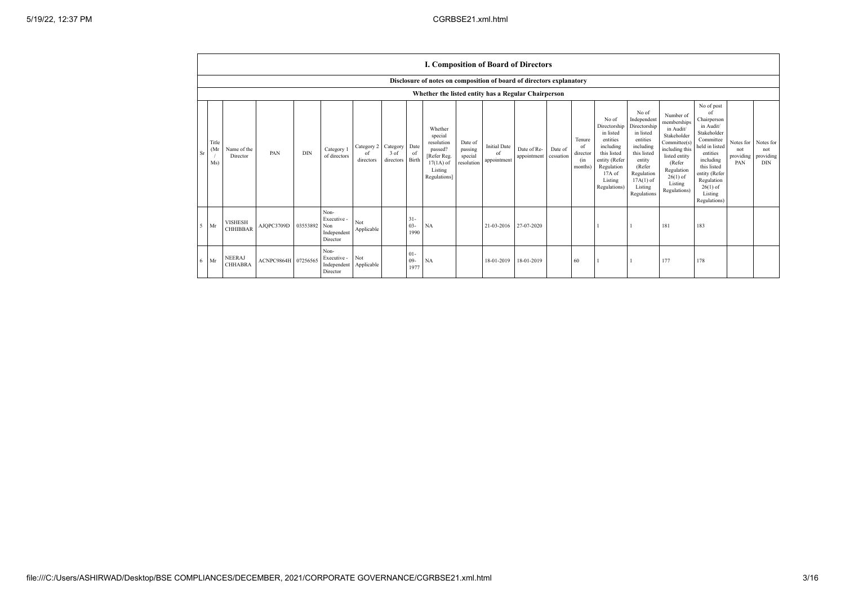|                | <b>I. Composition of Board of Directors</b>         |                                   |                     |            |                                                       |                                        |                   |                          |                                                                                                      |                                             |                                          |                            |                      |                                            |                                                                                                                                                  |                                                                                                                                                                      |                                                                                                                                                                          |                                                                                                                                                                                                            |                                      |                                             |
|----------------|-----------------------------------------------------|-----------------------------------|---------------------|------------|-------------------------------------------------------|----------------------------------------|-------------------|--------------------------|------------------------------------------------------------------------------------------------------|---------------------------------------------|------------------------------------------|----------------------------|----------------------|--------------------------------------------|--------------------------------------------------------------------------------------------------------------------------------------------------|----------------------------------------------------------------------------------------------------------------------------------------------------------------------|--------------------------------------------------------------------------------------------------------------------------------------------------------------------------|------------------------------------------------------------------------------------------------------------------------------------------------------------------------------------------------------------|--------------------------------------|---------------------------------------------|
|                |                                                     |                                   |                     |            |                                                       |                                        |                   |                          | Disclosure of notes on composition of board of directors explanatory                                 |                                             |                                          |                            |                      |                                            |                                                                                                                                                  |                                                                                                                                                                      |                                                                                                                                                                          |                                                                                                                                                                                                            |                                      |                                             |
|                | Whether the listed entity has a Regular Chairperson |                                   |                     |            |                                                       |                                        |                   |                          |                                                                                                      |                                             |                                          |                            |                      |                                            |                                                                                                                                                  |                                                                                                                                                                      |                                                                                                                                                                          |                                                                                                                                                                                                            |                                      |                                             |
| Sr             | Title<br>(Mr<br>Ms)                                 | Name of the<br>Director           | PAN                 | <b>DIN</b> | Category 1<br>of directors                            | Category 2 Category<br>of<br>directors | 3 of<br>directors | Date<br>of<br>Birth      | Whether<br>special<br>resolution<br>passed?<br>[Refer Reg.<br>$17(1A)$ of<br>Listing<br>Regulations] | Date of<br>passing<br>special<br>resolution | <b>Initial Date</b><br>of<br>appointment | Date of Re-<br>appointment | Date of<br>cessation | Tenure<br>of<br>director<br>(in<br>months) | No of<br>Directorship<br>in listed<br>entities<br>including<br>this listed<br>entity (Refer<br>Regulation<br>$17A$ of<br>Listing<br>Regulations) | No of<br>Independent<br>Directorship<br>in listed<br>entities<br>including<br>this listed<br>entity<br>(Refer<br>Regulation<br>$17A(1)$ of<br>Listing<br>Regulations | Number of<br>memberships<br>in Audit/<br>Stakeholder<br>Committee(s)<br>including this<br>listed entity<br>(Refer<br>Regulation<br>$26(1)$ of<br>Listing<br>Regulations) | No of post<br>of<br>Chairperson<br>in Audit/<br>Stakeholder<br>Committee<br>held in listed<br>entities<br>including<br>this listed<br>entity (Refer<br>Regulation<br>$26(1)$ of<br>Listing<br>Regulations) | Notes for<br>not<br>providing<br>PAN | Notes for<br>not<br>providing<br><b>DIN</b> |
| $\overline{5}$ | Mr                                                  | <b>VISHESH</b><br><b>CHHIBBAR</b> | AJQPC3709D          | 03553892   | Non-<br>Executive -<br>Non<br>Independent<br>Director | Not<br>Applicable                      |                   | $31 -$<br>$03 -$<br>1990 | NA                                                                                                   |                                             | 21-03-2016 27-07-2020                    |                            |                      |                                            |                                                                                                                                                  |                                                                                                                                                                      | 181                                                                                                                                                                      | 183                                                                                                                                                                                                        |                                      |                                             |
| 6              | Mr                                                  | <b>NEERAJ</b><br><b>CHHABRA</b>   | ACNPC9864H 07256565 |            | Non-<br>Executive -<br>Independent<br>Director        | Not<br>Applicable                      |                   | $01 -$<br>$09-$<br>1977  | NA                                                                                                   |                                             | 18-01-2019                               | 18-01-2019                 |                      | 60                                         |                                                                                                                                                  |                                                                                                                                                                      | 177                                                                                                                                                                      | 178                                                                                                                                                                                                        |                                      |                                             |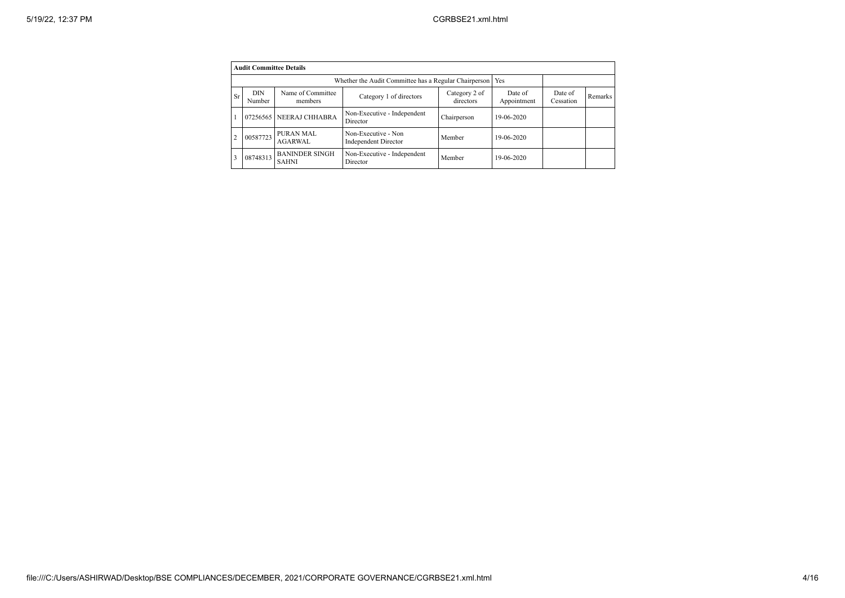|                | <b>Audit Committee Details</b> |                                       |                                                       |                            |                        |                      |         |  |  |  |  |
|----------------|--------------------------------|---------------------------------------|-------------------------------------------------------|----------------------------|------------------------|----------------------|---------|--|--|--|--|
|                |                                |                                       | Whether the Audit Committee has a Regular Chairperson | Yes                        |                        |                      |         |  |  |  |  |
| <b>Sr</b>      | <b>DIN</b><br>Number           | Name of Committee<br>members          | Category 1 of directors                               | Category 2 of<br>directors | Date of<br>Appointment | Date of<br>Cessation | Remarks |  |  |  |  |
|                | 07256565                       | NEERAJ CHHABRA                        | Non-Executive - Independent<br>Director               | Chairperson                | 19-06-2020             |                      |         |  |  |  |  |
| $\overline{2}$ | 00587723                       | PURAN MAL<br>AGARWAL                  | Non-Executive - Non<br>Independent Director           | Member                     | 19-06-2020             |                      |         |  |  |  |  |
|                | 08748313                       | <b>BANINDER SINGH</b><br><b>SAHNI</b> | Non-Executive - Independent<br>Director               | Member                     | 19-06-2020             |                      |         |  |  |  |  |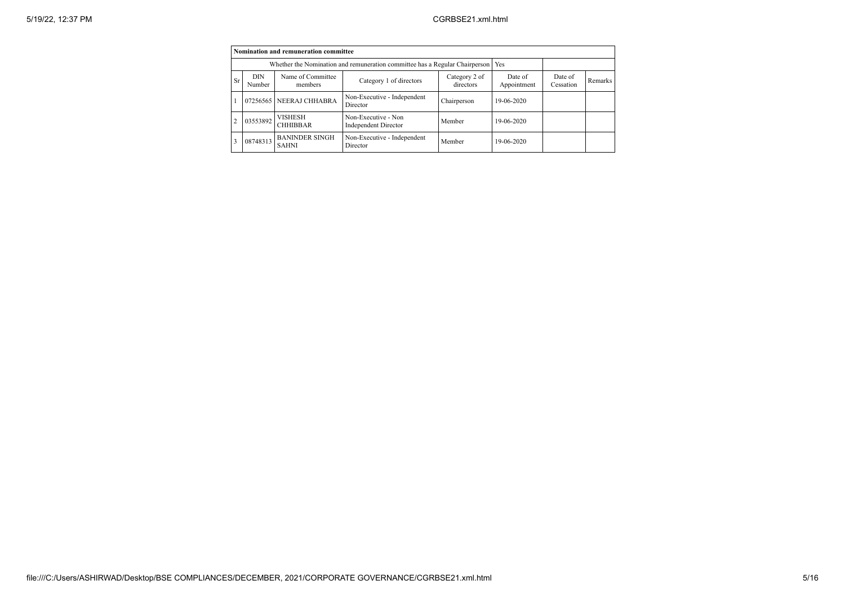|           |                                                                             | Nomination and remuneration committee |                                             |                        |                      |         |  |
|-----------|-----------------------------------------------------------------------------|---------------------------------------|---------------------------------------------|------------------------|----------------------|---------|--|
|           | Whether the Nomination and remuneration committee has a Regular Chairperson | Yes                                   |                                             |                        |                      |         |  |
| <b>Sr</b> | <b>DIN</b><br>Number                                                        | Name of Committee<br>members          | Category 2 of<br>directors                  | Date of<br>Appointment | Date of<br>Cessation | Remarks |  |
|           | 07256565                                                                    | NEERAJ CHHABRA                        | Non-Executive - Independent<br>Director     | Chairperson            | 19-06-2020           |         |  |
|           | 03553892                                                                    | <b>VISHESH</b><br><b>CHHIBBAR</b>     | Non-Executive - Non<br>Independent Director | Member                 | 19-06-2020           |         |  |
|           | 08748313                                                                    | <b>BANINDER SINGH</b><br><b>SAHNI</b> | Non-Executive - Independent<br>Director     | Member                 | 19-06-2020           |         |  |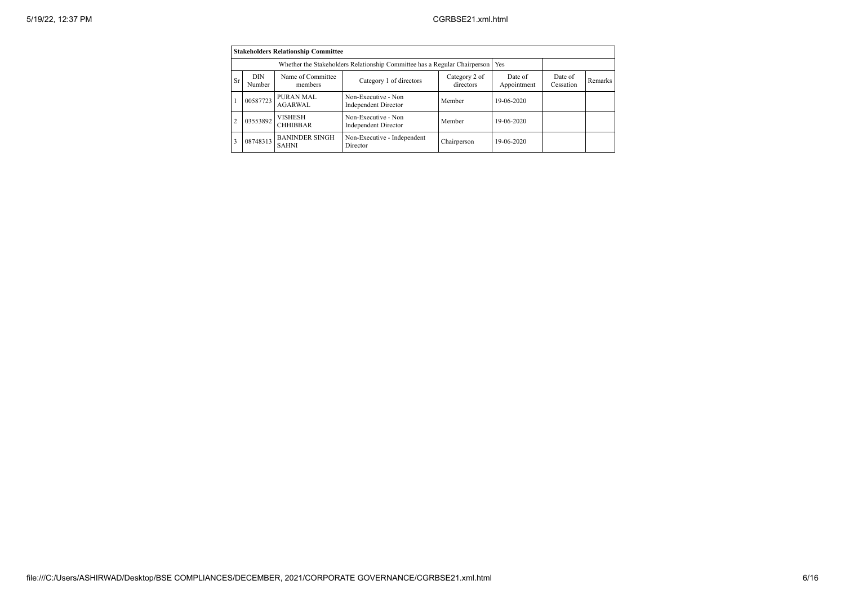|                | <b>Stakeholders Relationship Committee</b>                                                                                              |                                                                               |                                             |             |            |  |         |  |  |  |  |
|----------------|-----------------------------------------------------------------------------------------------------------------------------------------|-------------------------------------------------------------------------------|---------------------------------------------|-------------|------------|--|---------|--|--|--|--|
|                |                                                                                                                                         | Whether the Stakeholders Relationship Committee has a Regular Chairperson Yes |                                             |             |            |  |         |  |  |  |  |
| <b>Sr</b>      | Name of Committee<br><b>DIN</b><br>Date of<br>Category 2 of<br>Category 1 of directors<br>Appointment<br>directors<br>Number<br>members |                                                                               |                                             |             |            |  | Remarks |  |  |  |  |
|                | 00587723                                                                                                                                | PURAN MAL<br><b>AGARWAL</b>                                                   | Non-Executive - Non<br>Independent Director | Member      | 19-06-2020 |  |         |  |  |  |  |
| $\overline{2}$ | 03553892                                                                                                                                | <b>VISHESH</b><br><b>CHHIBBAR</b>                                             | Non-Executive - Non<br>Independent Director | Member      | 19-06-2020 |  |         |  |  |  |  |
| 3              | 08748313                                                                                                                                | <b>BANINDER SINGH</b><br><b>SAHNI</b>                                         | Non-Executive - Independent<br>Director     | Chairperson | 19-06-2020 |  |         |  |  |  |  |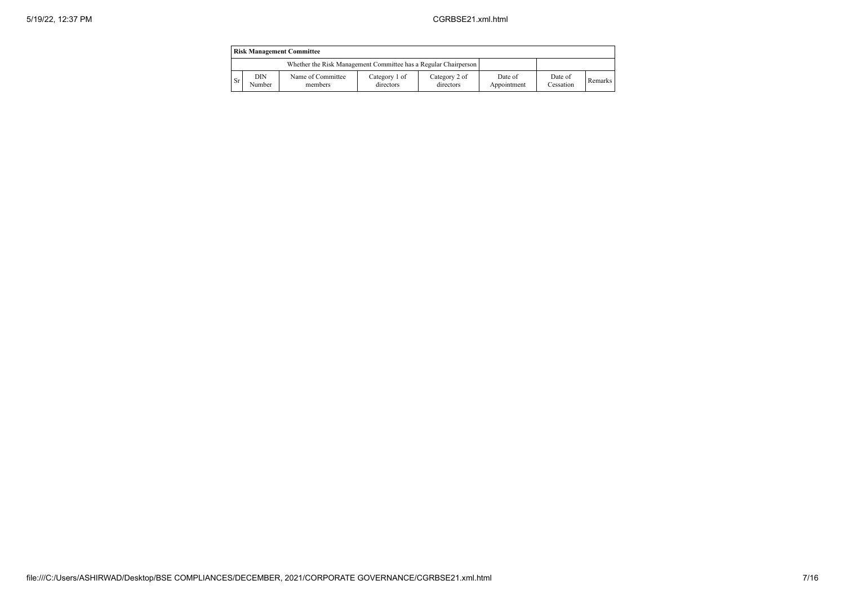| <b>Risk Management Committee</b> |               |                                                                 |                            |                            |                        |                      |         |  |
|----------------------------------|---------------|-----------------------------------------------------------------|----------------------------|----------------------------|------------------------|----------------------|---------|--|
|                                  |               | Whether the Risk Management Committee has a Regular Chairperson |                            |                            |                        |                      |         |  |
| <b>Sr</b>                        | DIN<br>Number | Name of Committee<br>members                                    | Category 1 of<br>directors | Category 2 of<br>directors | Date of<br>Appointment | Date of<br>Cessation | Remarks |  |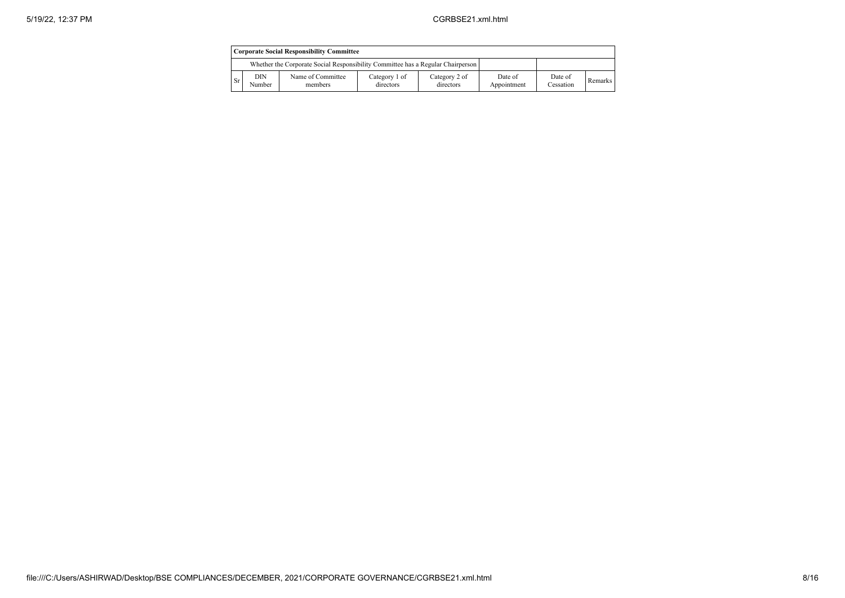|      | Corporate Social Responsibility Committee                                       |                              |                            |                            |                        |                      |                |  |  |
|------|---------------------------------------------------------------------------------|------------------------------|----------------------------|----------------------------|------------------------|----------------------|----------------|--|--|
|      | Whether the Corporate Social Responsibility Committee has a Regular Chairperson |                              |                            |                            |                        |                      |                |  |  |
| ' Sr | DIN<br>Number                                                                   | Name of Committee<br>members | Category 1 of<br>directors | Category 2 of<br>directors | Date of<br>Appointment | Date of<br>Cessation | <b>Remarks</b> |  |  |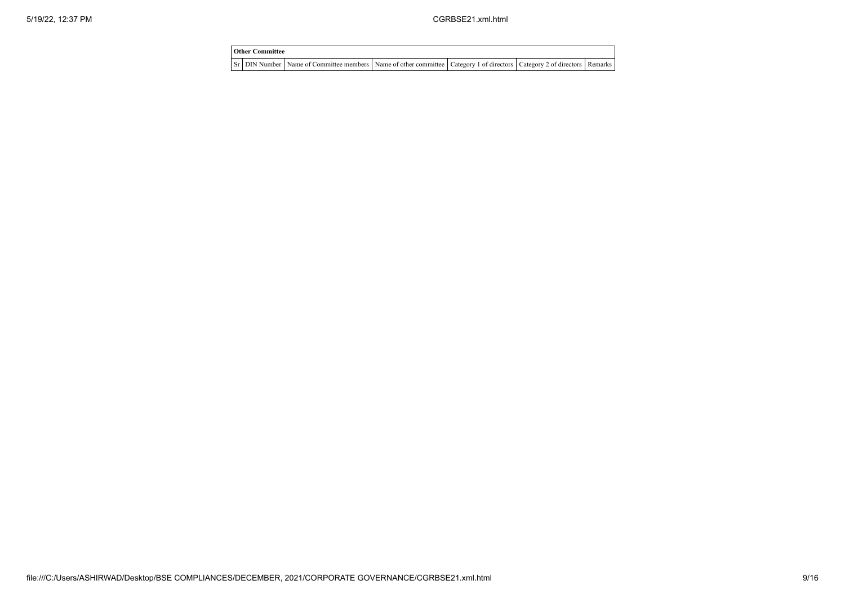| <b>Other Committee</b> |                                                                                                                               |  |  |
|------------------------|-------------------------------------------------------------------------------------------------------------------------------|--|--|
|                        | ST DIN Number Name of Committee members Name of other committee   Category 1 of directors   Category 2 of directors   Remarks |  |  |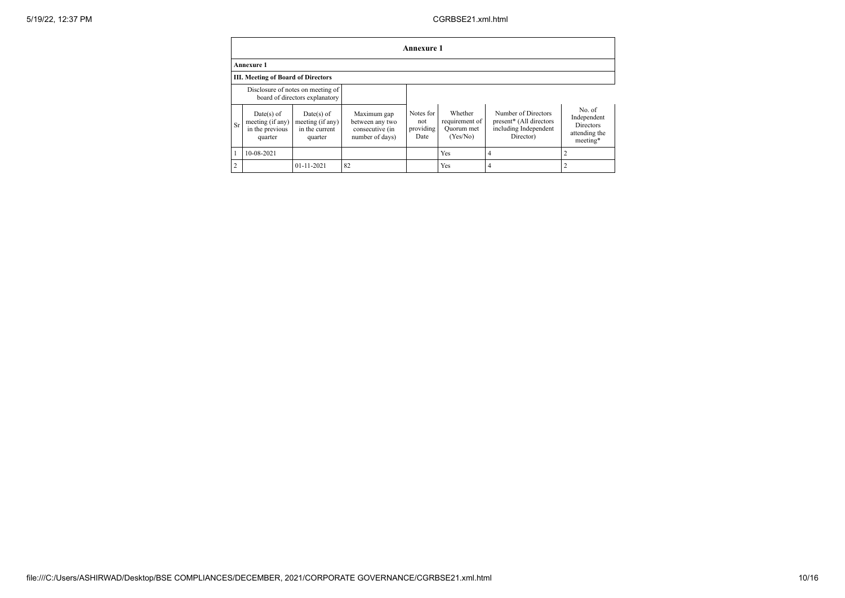## 5/19/22, 12:37 PM CGRBSE21.xml.html

|                |                                                                |                                                                     |                                                                      | <b>Annexure 1</b>                     |                                                     |                                                                                      |                                                                        |
|----------------|----------------------------------------------------------------|---------------------------------------------------------------------|----------------------------------------------------------------------|---------------------------------------|-----------------------------------------------------|--------------------------------------------------------------------------------------|------------------------------------------------------------------------|
|                | <b>Annexure 1</b>                                              |                                                                     |                                                                      |                                       |                                                     |                                                                                      |                                                                        |
|                | <b>III. Meeting of Board of Directors</b>                      |                                                                     |                                                                      |                                       |                                                     |                                                                                      |                                                                        |
|                |                                                                | Disclosure of notes on meeting of<br>board of directors explanatory |                                                                      |                                       |                                                     |                                                                                      |                                                                        |
| Sr             | $Date(s)$ of<br>meeting (if any)<br>in the previous<br>quarter | $Date(s)$ of<br>meeting (if any)<br>in the current<br>quarter       | Maximum gap<br>between any two<br>consecutive (in<br>number of days) | Notes for<br>not<br>providing<br>Date | Whether<br>requirement of<br>Quorum met<br>(Yes/No) | Number of Directors<br>present* (All directors<br>including Independent<br>Director) | No. of<br>Independent<br><b>Directors</b><br>attending the<br>meeting* |
|                | 10-08-2021                                                     |                                                                     |                                                                      |                                       | Yes                                                 | 4                                                                                    | $\overline{2}$                                                         |
| $\overline{c}$ |                                                                | $01 - 11 - 2021$                                                    | 82                                                                   |                                       | Yes                                                 | 4                                                                                    |                                                                        |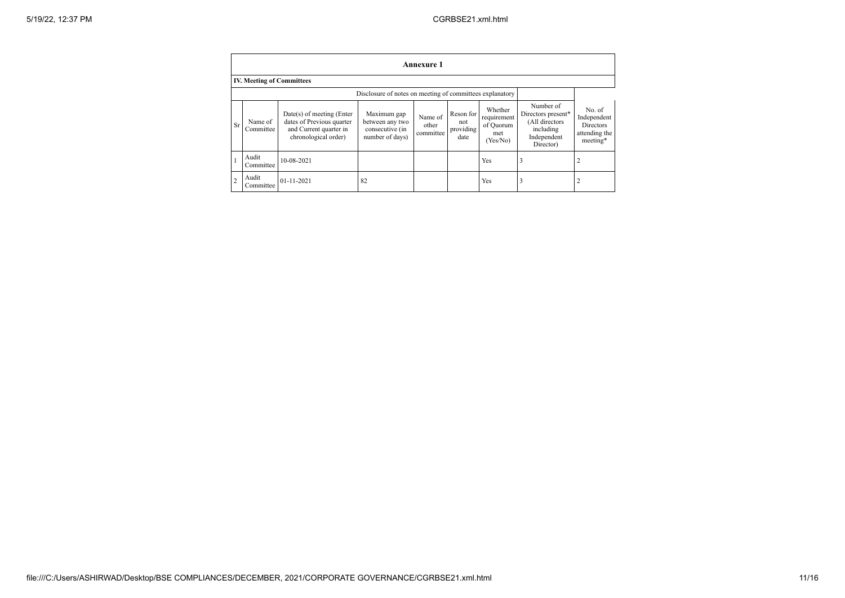|                | <b>Annexure 1</b>                                        |                                                                                                            |                                                                      |                               |                                       |                                                        |                                                                                            |                                                                        |  |  |  |
|----------------|----------------------------------------------------------|------------------------------------------------------------------------------------------------------------|----------------------------------------------------------------------|-------------------------------|---------------------------------------|--------------------------------------------------------|--------------------------------------------------------------------------------------------|------------------------------------------------------------------------|--|--|--|
|                | <b>IV. Meeting of Committees</b>                         |                                                                                                            |                                                                      |                               |                                       |                                                        |                                                                                            |                                                                        |  |  |  |
|                | Disclosure of notes on meeting of committees explanatory |                                                                                                            |                                                                      |                               |                                       |                                                        |                                                                                            |                                                                        |  |  |  |
| Sr             | Name of<br>Committee                                     | $Date(s)$ of meeting (Enter<br>dates of Previous quarter<br>and Current quarter in<br>chronological order) | Maximum gap<br>between any two<br>consecutive (in<br>number of days) | Name of<br>other<br>committee | Reson for<br>not<br>providing<br>date | Whether<br>requirement<br>of Quorum<br>met<br>(Yes/No) | Number of<br>Directors present*<br>(All directors<br>including<br>Independent<br>Director) | No. of<br>Independent<br><b>Directors</b><br>attending the<br>meeting* |  |  |  |
|                | Audit<br>Committee                                       | 10-08-2021                                                                                                 |                                                                      |                               |                                       | Yes                                                    | 3                                                                                          | $\overline{2}$                                                         |  |  |  |
| $\overline{2}$ | Audit<br>Committee                                       | $01 - 11 - 2021$                                                                                           | 82                                                                   |                               |                                       | Yes                                                    | 3                                                                                          | $\overline{2}$                                                         |  |  |  |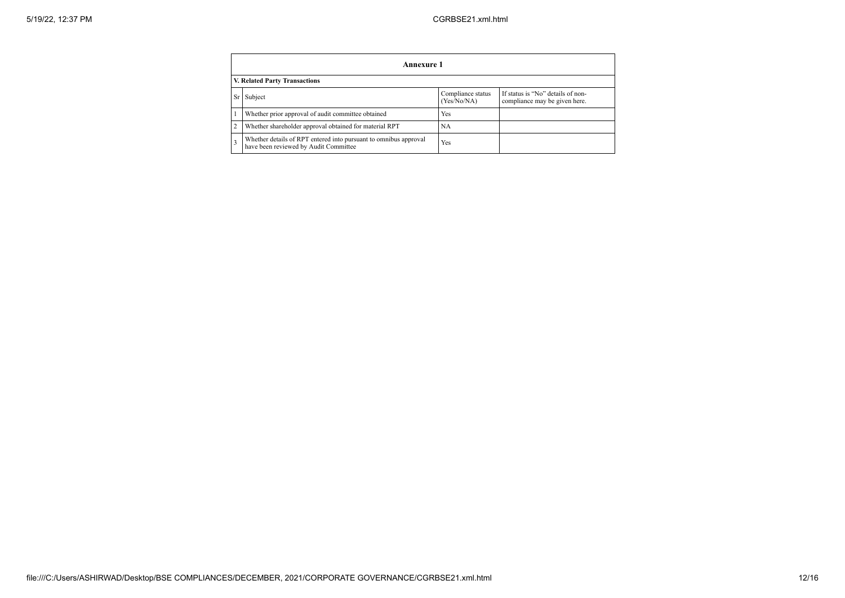|           | Annexure 1                                                                                                |                                  |                                                                    |  |  |  |  |  |  |
|-----------|-----------------------------------------------------------------------------------------------------------|----------------------------------|--------------------------------------------------------------------|--|--|--|--|--|--|
|           | V. Related Party Transactions                                                                             |                                  |                                                                    |  |  |  |  |  |  |
| <b>Sr</b> | Subject                                                                                                   | Compliance status<br>(Yes/No/NA) | If status is "No" details of non-<br>compliance may be given here. |  |  |  |  |  |  |
|           | Whether prior approval of audit committee obtained                                                        | Yes                              |                                                                    |  |  |  |  |  |  |
|           | Whether shareholder approval obtained for material RPT                                                    | <b>NA</b>                        |                                                                    |  |  |  |  |  |  |
|           | Whether details of RPT entered into pursuant to omnibus approval<br>have been reviewed by Audit Committee | Yes                              |                                                                    |  |  |  |  |  |  |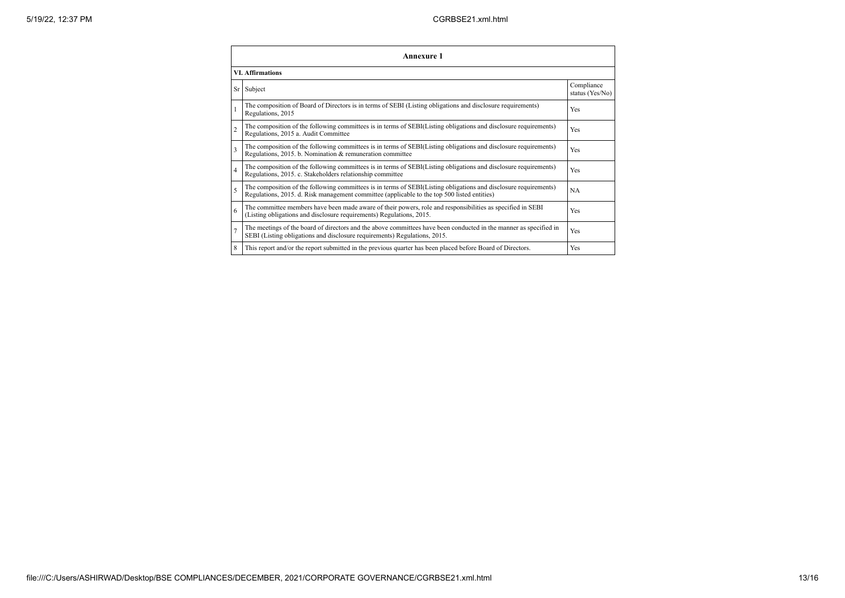| <b>Annexure 1</b>       |                                                                                                                                                                                                                 |                               |  |  |
|-------------------------|-----------------------------------------------------------------------------------------------------------------------------------------------------------------------------------------------------------------|-------------------------------|--|--|
| <b>VI. Affirmations</b> |                                                                                                                                                                                                                 |                               |  |  |
| Sr                      | Subject                                                                                                                                                                                                         | Compliance<br>status (Yes/No) |  |  |
|                         | The composition of Board of Directors is in terms of SEBI (Listing obligations and disclosure requirements)<br>Regulations, 2015                                                                                | Yes                           |  |  |
| $\overline{c}$          | The composition of the following committees is in terms of SEBI(Listing obligations and disclosure requirements)<br>Regulations, 2015 a. Audit Committee                                                        | Yes                           |  |  |
| 3                       | The composition of the following committees is in terms of SEBI(Listing obligations and disclosure requirements)<br>Regulations, 2015. b. Nomination & remuneration committee                                   | Yes                           |  |  |
| 4                       | The composition of the following committees is in terms of SEBI(Listing obligations and disclosure requirements)<br>Regulations, 2015. c. Stakeholders relationship committee                                   | Yes                           |  |  |
| 5                       | The composition of the following committees is in terms of SEBI(Listing obligations and disclosure requirements)<br>Regulations, 2015. d. Risk management committee (applicable to the top 500 listed entities) | <b>NA</b>                     |  |  |
| 6                       | The committee members have been made aware of their powers, role and responsibilities as specified in SEBI<br>(Listing obligations and disclosure requirements) Regulations, 2015.                              | Yes                           |  |  |
|                         | The meetings of the board of directors and the above committees have been conducted in the manner as specified in<br>SEBI (Listing obligations and disclosure requirements) Regulations, 2015.                  | Yes                           |  |  |
| 8                       | This report and/or the report submitted in the previous quarter has been placed before Board of Directors.                                                                                                      | Yes                           |  |  |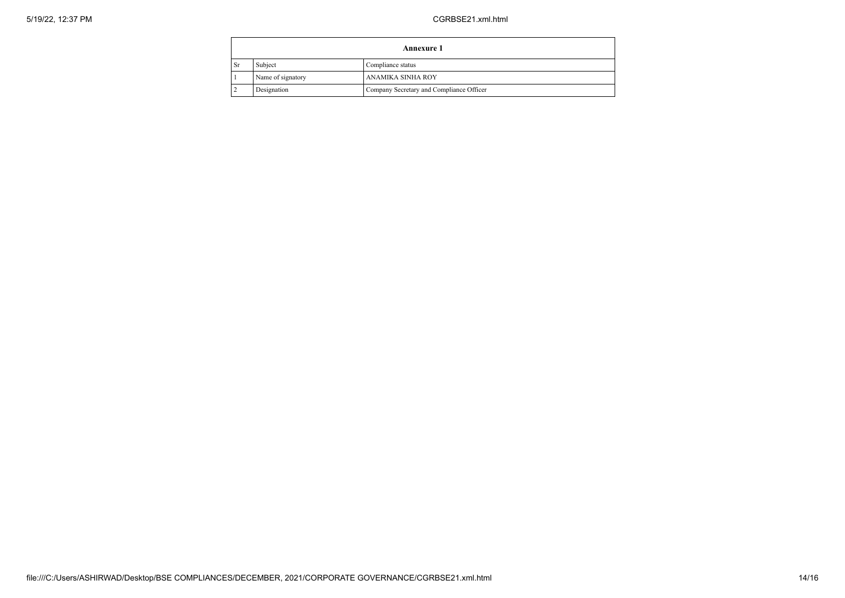| Annexure 1 |                   |                                          |  |
|------------|-------------------|------------------------------------------|--|
| Sr         | Subject           | Compliance status                        |  |
|            | Name of signatory | ANAMIKA SINHA ROY                        |  |
|            | Designation       | Company Secretary and Compliance Officer |  |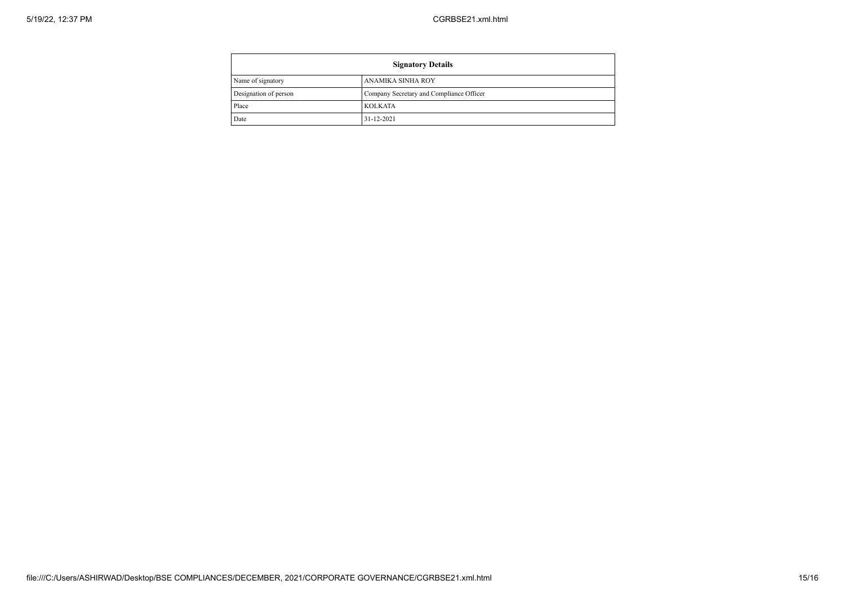| <b>Signatory Details</b> |                                          |  |
|--------------------------|------------------------------------------|--|
| Name of signatory        | ANAMIKA SINHA ROY                        |  |
| Designation of person    | Company Secretary and Compliance Officer |  |
| Place                    | <b>KOLKATA</b>                           |  |
| Date                     | $31 - 12 - 2021$                         |  |